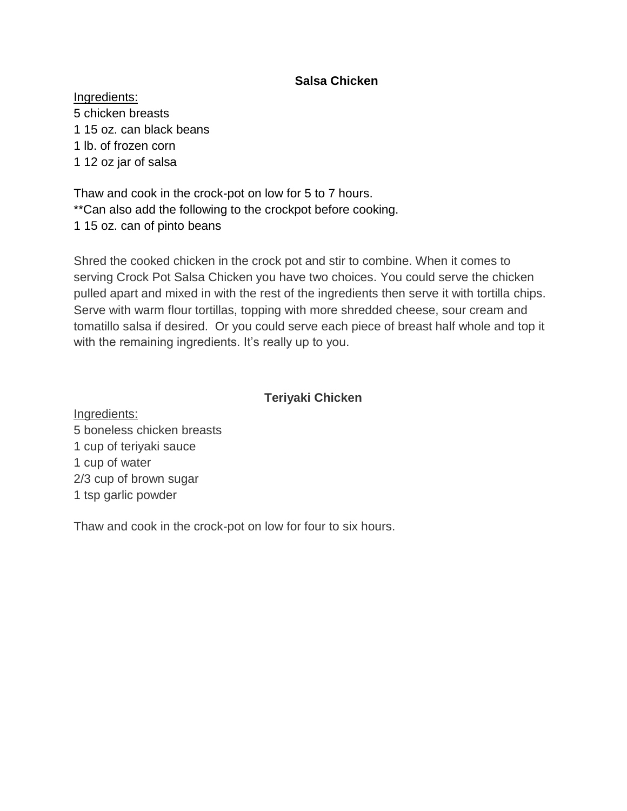# **Salsa Chicken**

Ingredients: 5 chicken breasts 1 15 oz. can black beans 1 lb. of frozen corn 1 12 oz jar of salsa

Thaw and cook in the crock-pot on low for 5 to 7 hours. \*\*Can also add the following to the crockpot before cooking. 1 15 oz. can of pinto beans

Shred the cooked chicken in the crock pot and stir to combine. When it comes to serving Crock Pot Salsa Chicken you have two choices. You could serve the chicken pulled apart and mixed in with the rest of the ingredients then serve it with tortilla chips. Serve with warm flour tortillas, topping with more shredded cheese, sour cream and tomatillo salsa if desired. Or you could serve each piece of breast half whole and top it with the remaining ingredients. It's really up to you.

#### **Teriyaki Chicken**

Ingredients: 5 boneless chicken breasts 1 cup of teriyaki sauce 1 cup of water 2/3 cup of brown sugar 1 tsp garlic powder

Thaw and cook in the crock-pot on low for four to six hours.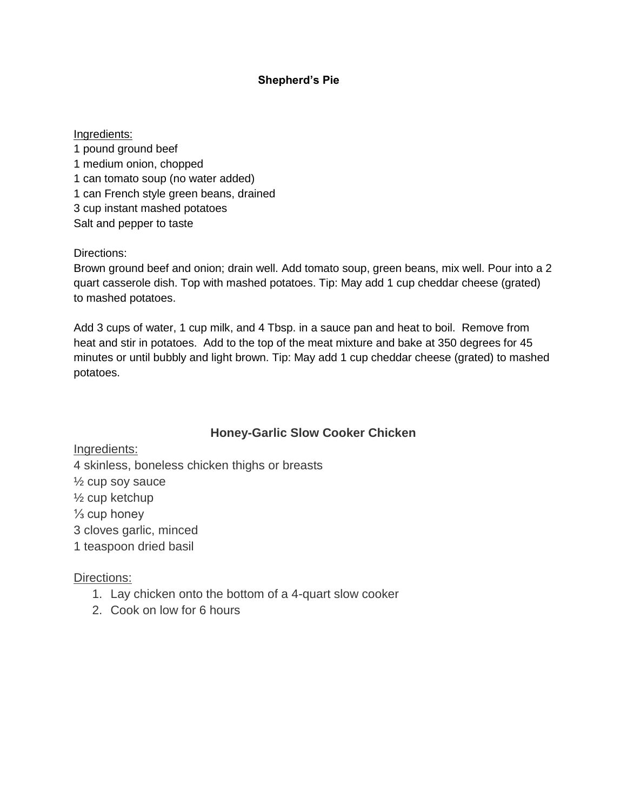#### **Shepherd's Pie**

#### Ingredients:

1 pound ground beef 1 medium onion, chopped 1 can tomato soup (no water added) 1 can French style green beans, drained 3 cup instant mashed potatoes Salt and pepper to taste

Directions:

Brown ground beef and onion; drain well. Add tomato soup, green beans, mix well. Pour into a 2 quart casserole dish. Top with mashed potatoes. Tip: May add 1 cup cheddar cheese (grated) to mashed potatoes.

Add 3 cups of water, 1 cup milk, and 4 Tbsp. in a sauce pan and heat to boil. Remove from heat and stir in potatoes. Add to the top of the meat mixture and bake at 350 degrees for 45 minutes or until bubbly and light brown. Tip: May add 1 cup cheddar cheese (grated) to mashed potatoes.

## **Honey-Garlic Slow Cooker Chicken**

Ingredients:

4 skinless, boneless chicken thighs or breasts

½ cup soy sauce

½ cup ketchup

 $\frac{1}{3}$  cup honey

3 cloves garlic, minced

1 teaspoon dried basil

#### Directions:

- 1. Lay chicken onto the bottom of a 4-quart slow cooker
- 2. Cook on low for 6 hours